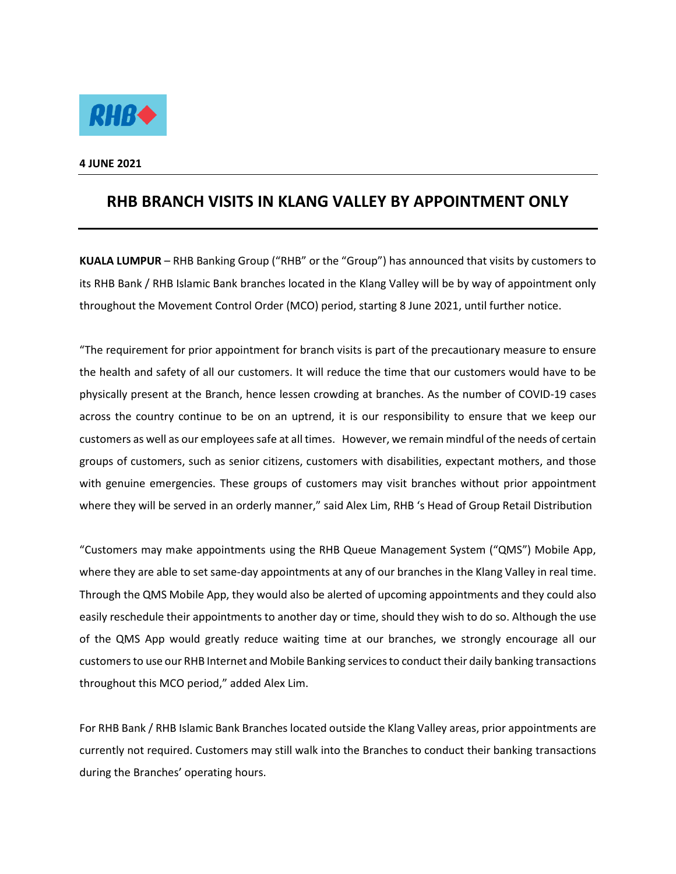

**4 JUNE 2021** 

## **RHB BRANCH VISITS IN KLANG VALLEY BY APPOINTMENT ONLY**

**KUALA LUMPUR** – RHB Banking Group ("RHB" or the "Group") has announced that visits by customers to its RHB Bank / RHB Islamic Bank branches located in the Klang Valley will be by way of appointment only throughout the Movement Control Order (MCO) period, starting 8 June 2021, until further notice.

"The requirement for prior appointment for branch visits is part of the precautionary measure to ensure the health and safety of all our customers. It will reduce the time that our customers would have to be physically present at the Branch, hence lessen crowding at branches. As the number of COVID-19 cases across the country continue to be on an uptrend, it is our responsibility to ensure that we keep our customers as well as our employees safe at all times. However, we remain mindful of the needs of certain groups of customers, such as senior citizens, customers with disabilities, expectant mothers, and those with genuine emergencies. These groups of customers may visit branches without prior appointment where they will be served in an orderly manner," said Alex Lim, RHB 's Head of Group Retail Distribution

"Customers may make appointments using the RHB Queue Management System ("QMS") Mobile App, where they are able to set same-day appointments at any of our branches in the Klang Valley in real time. Through the QMS Mobile App, they would also be alerted of upcoming appointments and they could also easily reschedule their appointments to another day or time, should they wish to do so. Although the use of the QMS App would greatly reduce waiting time at our branches, we strongly encourage all our customers to use our RHB Internet and Mobile Banking services to conduct their daily banking transactions throughout this MCO period," added Alex Lim.

For RHB Bank / RHB Islamic Bank Branches located outside the Klang Valley areas, prior appointments are currently not required. Customers may still walk into the Branches to conduct their banking transactions during the Branches' operating hours.